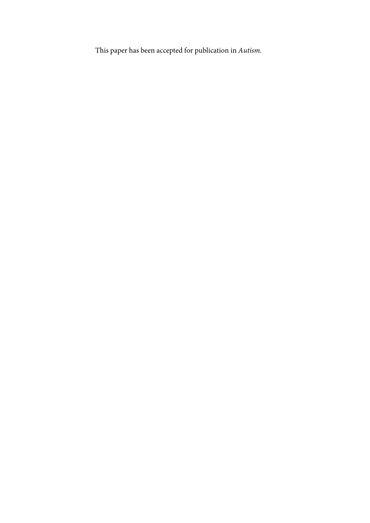This paper has been accepted for publication in *Autism.*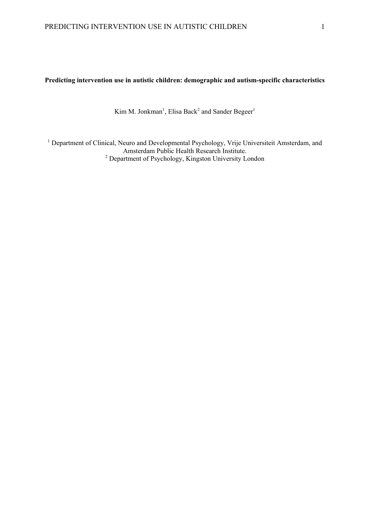## **Predicting intervention use in autistic children: demographic and autism-specific characteristics**

Kim M. Jonkman<sup>1</sup>, Elisa Back<sup>2</sup> and Sander Begeer<sup>1</sup>

<sup>1</sup> Department of Clinical, Neuro and Developmental Psychology, Vrije Universiteit Amsterdam, and Amsterdam Public Health Research Institute. <sup>2</sup> Department of Psychology, Kingston University London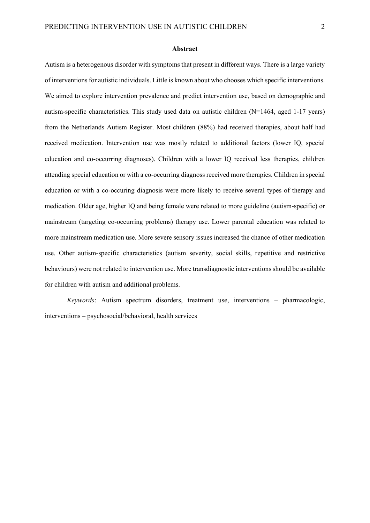### **Abstract**

Autism is a heterogenous disorder with symptoms that present in different ways. There is a large variety of interventions for autistic individuals. Little is known about who chooses which specific interventions. We aimed to explore intervention prevalence and predict intervention use, based on demographic and autism-specific characteristics. This study used data on autistic children (N=1464, aged 1-17 years) from the Netherlands Autism Register. Most children (88%) had received therapies, about half had received medication. Intervention use was mostly related to additional factors (lower IQ, special education and co-occurring diagnoses). Children with a lower IQ received less therapies, children attending special education or with a co-occurring diagnoss received more therapies. Children in special education or with a co-occuring diagnosis were more likely to receive several types of therapy and medication. Older age, higher IQ and being female were related to more guideline (autism-specific) or mainstream (targeting co-occurring problems) therapy use. Lower parental education was related to more mainstream medication use. More severe sensory issues increased the chance of other medication use. Other autism-specific characteristics (autism severity, social skills, repetitive and restrictive behaviours) were not related to intervention use. More transdiagnostic interventions should be available for children with autism and additional problems.

*Keywords*: Autism spectrum disorders, treatment use, interventions – pharmacologic, interventions – psychosocial/behavioral, health services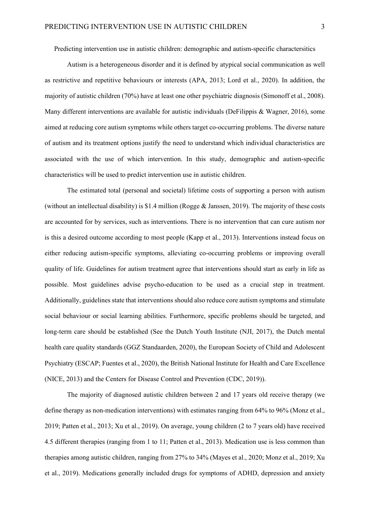Predicting intervention use in autistic children: demographic and autism-specific charactersitics

Autism is a heterogeneous disorder and it is defined by atypical social communication as well as restrictive and repetitive behaviours or interests (APA, 2013; Lord et al., 2020). In addition, the majority of autistic children (70%) have at least one other psychiatric diagnosis (Simonoff et al., 2008). Many different interventions are available for autistic individuals (DeFilippis & Wagner, 2016), some aimed at reducing core autism symptoms while others target co-occurring problems. The diverse nature of autism and its treatment options justify the need to understand which individual characteristics are associated with the use of which intervention. In this study, demographic and autism-specific characteristics will be used to predict intervention use in autistic children.

The estimated total (personal and societal) lifetime costs of supporting a person with autism (without an intellectual disability) is \$1.4 million (Rogge & Janssen, 2019). The majority of these costs are accounted for by services, such as interventions. There is no intervention that can cure autism nor is this a desired outcome according to most people (Kapp et al., 2013). Interventions instead focus on either reducing autism-specific symptoms, alleviating co-occurring problems or improving overall quality of life. Guidelines for autism treatment agree that interventions should start as early in life as possible. Most guidelines advise psycho-education to be used as a crucial step in treatment. Additionally, guidelines state that interventions should also reduce core autism symptoms and stimulate social behaviour or social learning abilities. Furthermore, specific problems should be targeted, and long-term care should be established (See the Dutch Youth Institute (NJI, 2017), the Dutch mental health care quality standards (GGZ Standaarden, 2020), the European Society of Child and Adolescent Psychiatry (ESCAP; Fuentes et al., 2020), the British National Institute for Health and Care Excellence (NICE, 2013) and the Centers for Disease Control and Prevention (CDC, 2019)).

The majority of diagnosed autistic children between 2 and 17 years old receive therapy (we define therapy as non-medication interventions) with estimates ranging from 64% to 96% (Monz et al., 2019; Patten et al., 2013; Xu et al., 2019). On average, young children (2 to 7 years old) have received 4.5 different therapies (ranging from 1 to 11; Patten et al., 2013). Medication use is less common than therapies among autistic children, ranging from 27% to 34% (Mayes et al., 2020; Monz et al., 2019; Xu et al., 2019). Medications generally included drugs for symptoms of ADHD, depression and anxiety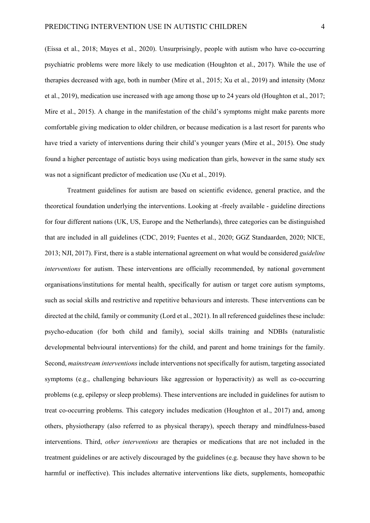(Eissa et al., 2018; Mayes et al., 2020). Unsurprisingly, people with autism who have co-occurring psychiatric problems were more likely to use medication (Houghton et al., 2017). While the use of therapies decreased with age, both in number (Mire et al., 2015; Xu et al., 2019) and intensity (Monz et al., 2019), medication use increased with age among those up to 24 years old (Houghton et al., 2017; Mire et al., 2015). A change in the manifestation of the child's symptoms might make parents more comfortable giving medication to older children, or because medication is a last resort for parents who have tried a variety of interventions during their child's younger years (Mire et al., 2015). One study found a higher percentage of autistic boys using medication than girls, however in the same study sex was not a significant predictor of medication use (Xu et al., 2019).

Treatment guidelines for autism are based on scientific evidence, general practice, and the theoretical foundation underlying the interventions. Looking at -freely available - guideline directions for four different nations (UK, US, Europe and the Netherlands), three categories can be distinguished that are included in all guidelines (CDC, 2019; Fuentes et al., 2020; GGZ Standaarden, 2020; NICE, 2013; NJI, 2017). First, there is a stable international agreement on what would be considered *guideline interventions* for autism. These interventions are officially recommended, by national government organisations/institutions for mental health, specifically for autism or target core autism symptoms, such as social skills and restrictive and repetitive behaviours and interests. These interventions can be directed at the child, family or community (Lord et al., 2021). In all referenced guidelines these include: psycho-education (for both child and family), social skills training and NDBIs (naturalistic developmental behvioural interventions) for the child, and parent and home trainings for the family. Second, *mainstream interventions* include interventions not specifically for autism, targeting associated symptoms (e.g., challenging behaviours like aggression or hyperactivity) as well as co-occurring problems (e.g, epilepsy or sleep problems). These interventions are included in guidelines for autism to treat co-occurring problems. This category includes medication (Houghton et al., 2017) and, among others, physiotherapy (also referred to as physical therapy), speech therapy and mindfulness-based interventions. Third, *other interventions* are therapies or medications that are not included in the treatment guidelines or are actively discouraged by the guidelines (e.g. because they have shown to be harmful or ineffective). This includes alternative interventions like diets, supplements, homeopathic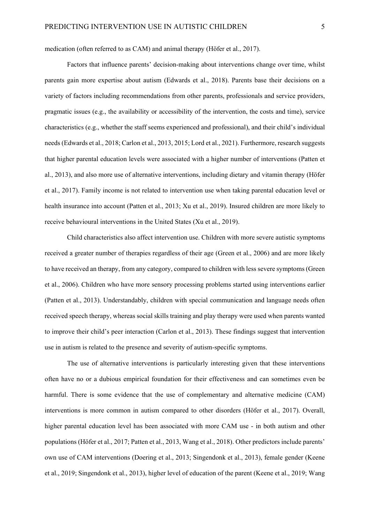medication (often referred to as CAM) and animal therapy (Höfer et al., 2017).

Factors that influence parents' decision-making about interventions change over time, whilst parents gain more expertise about autism (Edwards et al., 2018). Parents base their decisions on a variety of factors including recommendations from other parents, professionals and service providers, pragmatic issues (e.g., the availability or accessibility of the intervention, the costs and time), service characteristics (e.g., whether the staff seems experienced and professional), and their child's individual needs(Edwards et al., 2018; Carlon et al., 2013, 2015; Lord et al., 2021). Furthermore, research suggests that higher parental education levels were associated with a higher number of interventions (Patten et al., 2013), and also more use of alternative interventions, including dietary and vitamin therapy (Höfer et al., 2017). Family income is not related to intervention use when taking parental education level or health insurance into account (Patten et al., 2013; Xu et al., 2019). Insured children are more likely to receive behavioural interventions in the United States (Xu et al., 2019).

Child characteristics also affect intervention use. Children with more severe autistic symptoms received a greater number of therapies regardless of their age (Green et al., 2006) and are more likely to have received an therapy, from any category, compared to children with less severe symptoms(Green et al., 2006). Children who have more sensory processing problems started using interventions earlier (Patten et al., 2013). Understandably, children with special communication and language needs often received speech therapy, whereas social skills training and play therapy were used when parents wanted to improve their child's peer interaction (Carlon et al., 2013). These findings suggest that intervention use in autism is related to the presence and severity of autism-specific symptoms.

The use of alternative interventions is particularly interesting given that these interventions often have no or a dubious empirical foundation for their effectiveness and can sometimes even be harmful. There is some evidence that the use of complementary and alternative medicine (CAM) interventions is more common in autism compared to other disorders (Höfer et al., 2017). Overall, higher parental education level has been associated with more CAM use - in both autism and other populations (Höfer et al., 2017; Patten et al., 2013, Wang et al., 2018). Other predictors include parents' own use of CAM interventions (Doering et al., 2013; Singendonk et al., 2013), female gender (Keene et al., 2019; Singendonk et al., 2013), higher level of education of the parent (Keene et al., 2019; Wang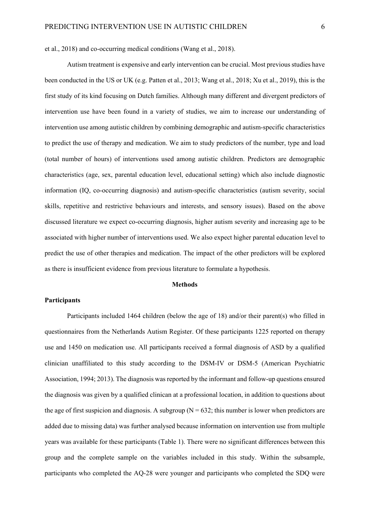et al., 2018) and co-occurring medical conditions (Wang et al., 2018).

Autism treatment is expensive and early intervention can be crucial. Most previous studies have been conducted in the US or UK (e.g. Patten et al., 2013; Wang et al., 2018; Xu et al., 2019), this is the first study of its kind focusing on Dutch families. Although many different and divergent predictors of intervention use have been found in a variety of studies, we aim to increase our understanding of intervention use among autistic children by combining demographic and autism-specific characteristics to predict the use of therapy and medication. We aim to study predictors of the number, type and load (total number of hours) of interventions used among autistic children. Predictors are demographic characteristics (age, sex, parental education level, educational setting) which also include diagnostic information (IQ, co-occurring diagnosis) and autism-specific characteristics (autism severity, social skills, repetitive and restrictive behaviours and interests, and sensory issues). Based on the above discussed literature we expect co-occurring diagnosis, higher autism severity and increasing age to be associated with higher number of interventions used. We also expect higher parental education level to predict the use of other therapies and medication. The impact of the other predictors will be explored as there is insufficient evidence from previous literature to formulate a hypothesis.

## **Methods**

### **Participants**

Participants included 1464 children (below the age of 18) and/or their parent(s) who filled in questionnaires from the Netherlands Autism Register. Of these participants 1225 reported on therapy use and 1450 on medication use. All participants received a formal diagnosis of ASD by a qualified clinician unaffiliated to this study according to the DSM-IV or DSM-5 (American Psychiatric Association, 1994; 2013). The diagnosis was reported by the informant and follow-up questions ensured the diagnosis was given by a qualified clinican at a professional location, in addition to questions about the age of first suspicion and diagnosis. A subgroup ( $N = 632$ ; this number is lower when predictors are added due to missing data) was further analysed because information on intervention use from multiple years was available for these participants (Table 1). There were no significant differences between this group and the complete sample on the variables included in this study. Within the subsample, participants who completed the AQ-28 were younger and participants who completed the SDQ were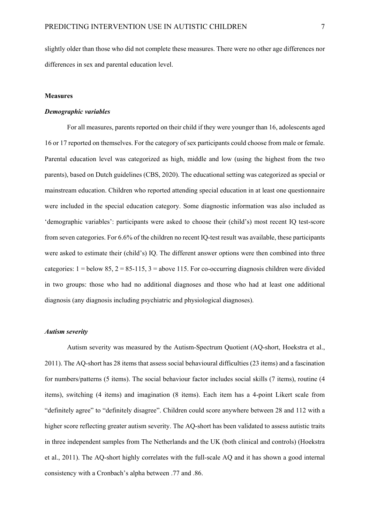slightly older than those who did not complete these measures. There were no other age differences nor differences in sex and parental education level.

### **Measures**

## *Demographic variables*

For all measures, parents reported on their child if they were younger than 16, adolescents aged 16 or 17 reported on themselves. For the category of sex participants could choose from male or female. Parental education level was categorized as high, middle and low (using the highest from the two parents), based on Dutch guidelines (CBS, 2020). The educational setting was categorized as special or mainstream education. Children who reported attending special education in at least one questionnaire were included in the special education category. Some diagnostic information was also included as 'demographic variables': participants were asked to choose their (child's) most recent IQ test-score from seven categories. For 6.6% of the children no recent IQ-test result was available, these participants were asked to estimate their (child's) IQ. The different answer options were then combined into three categories:  $1 =$  below 85,  $2 = 85-115$ ,  $3 =$  above 115. For co-occurring diagnosis children were divided in two groups: those who had no additional diagnoses and those who had at least one additional diagnosis (any diagnosis including psychiatric and physiological diagnoses).

## *Autism severity*

Autism severity was measured by the Autism-Spectrum Quotient (AQ-short, Hoekstra et al., 2011). The AQ-short has 28 items that assess social behavioural difficulties (23 items) and a fascination for numbers/patterns (5 items). The social behaviour factor includes social skills (7 items), routine (4 items), switching (4 items) and imagination (8 items). Each item has a 4-point Likert scale from "definitely agree" to "definitely disagree". Children could score anywhere between 28 and 112 with a higher score reflecting greater autism severity. The AQ-short has been validated to assess autistic traits in three independent samples from The Netherlands and the UK (both clinical and controls) (Hoekstra et al., 2011). The AQ-short highly correlates with the full-scale AQ and it has shown a good internal consistency with a Cronbach's alpha between .77 and .86.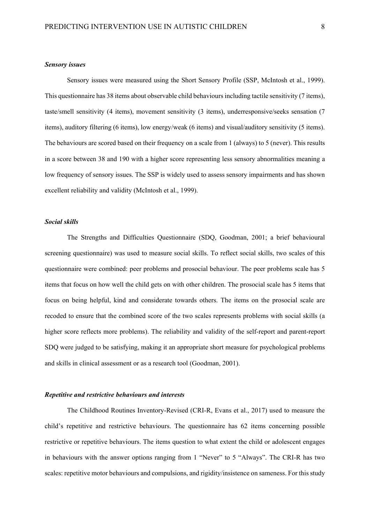### *Sensory issues*

Sensory issues were measured using the Short Sensory Profile (SSP, McIntosh et al., 1999). This questionnaire has 38 items about observable child behaviours including tactile sensitivity (7 items), taste/smell sensitivity (4 items), movement sensitivity (3 items), underresponsive/seeks sensation (7 items), auditory filtering (6 items), low energy/weak (6 items) and visual/auditory sensitivity (5 items). The behaviours are scored based on their frequency on a scale from 1 (always) to 5 (never). This results in a score between 38 and 190 with a higher score representing less sensory abnormalities meaning a low frequency of sensory issues. The SSP is widely used to assess sensory impairments and has shown excellent reliability and validity (McIntosh et al., 1999).

## *Social skills*

The Strengths and Difficulties Questionnaire (SDQ, Goodman, 2001; a brief behavioural screening questionnaire) was used to measure social skills. To reflect social skills, two scales of this questionnaire were combined: peer problems and prosocial behaviour. The peer problems scale has 5 items that focus on how well the child gets on with other children. The prosocial scale has 5 items that focus on being helpful, kind and considerate towards others. The items on the prosocial scale are recoded to ensure that the combined score of the two scales represents problems with social skills (a higher score reflects more problems). The reliability and validity of the self-report and parent-report SDQ were judged to be satisfying, making it an appropriate short measure for psychological problems and skills in clinical assessment or as a research tool (Goodman, 2001).

## *Repetitive and restrictive behaviours and interests*

The Childhood Routines Inventory-Revised (CRI-R, Evans et al., 2017) used to measure the child's repetitive and restrictive behaviours. The questionnaire has 62 items concerning possible restrictive or repetitive behaviours. The items question to what extent the child or adolescent engages in behaviours with the answer options ranging from 1 "Never" to 5 "Always". The CRI-R has two scales: repetitive motor behaviours and compulsions, and rigidity/insistence on sameness. For this study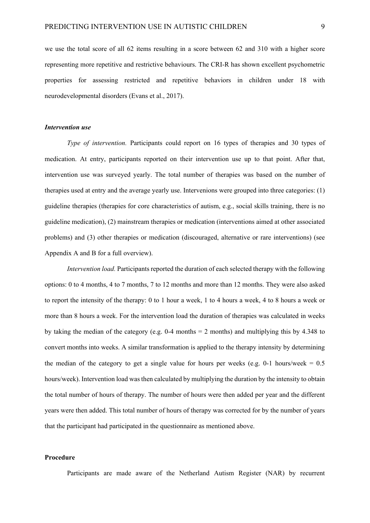we use the total score of all 62 items resulting in a score between 62 and 310 with a higher score representing more repetitive and restrictive behaviours. The CRI-R has shown excellent psychometric properties for assessing restricted and repetitive behaviors in children under 18 with neurodevelopmental disorders (Evans et al., 2017).

### *Intervention use*

*Type of intervention.* Participants could report on 16 types of therapies and 30 types of medication. At entry, participants reported on their intervention use up to that point. After that, intervention use was surveyed yearly. The total number of therapies was based on the number of therapies used at entry and the average yearly use. Intervenions were grouped into three categories: (1) guideline therapies (therapies for core characteristics of autism, e.g., social skills training, there is no guideline medication), (2) mainstream therapies or medication (interventions aimed at other associated problems) and (3) other therapies or medication (discouraged, alternative or rare interventions) (see Appendix A and B for a full overview).

*Intervention load.* Participants reported the duration of each selected therapy with the following options: 0 to 4 months, 4 to 7 months, 7 to 12 months and more than 12 months. They were also asked to report the intensity of the therapy: 0 to 1 hour a week, 1 to 4 hours a week, 4 to 8 hours a week or more than 8 hours a week. For the intervention load the duration of therapies was calculated in weeks by taking the median of the category (e.g. 0-4 months = 2 months) and multiplying this by 4.348 to convert months into weeks. A similar transformation is applied to the therapy intensity by determining the median of the category to get a single value for hours per weeks (e.g. 0-1 hours/week  $= 0.5$ ) hours/week). Intervention load was then calculated by multiplying the duration by the intensity to obtain the total number of hours of therapy. The number of hours were then added per year and the different years were then added. This total number of hours of therapy was corrected for by the number of years that the participant had participated in the questionnaire as mentioned above.

### **Procedure**

Participants are made aware of the Netherland Autism Register (NAR) by recurrent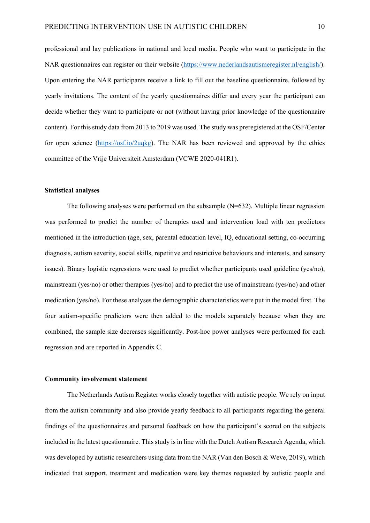professional and lay publications in national and local media. People who want to participate in the NAR questionnaires can register on their website [\(https://www.nederlandsautismeregister.nl/english/\)](https://www.nederlandsautismeregister.nl/english/). Upon entering the NAR participants receive a link to fill out the baseline questionnaire, followed by yearly invitations. The content of the yearly questionnaires differ and every year the participant can decide whether they want to participate or not (without having prior knowledge of the questionnaire content). For this study data from 2013 to 2019 was used. The study was preregistered at the OSF/Center for open science [\(https://osf.io/2uqkg\)](https://osf.io/2uqkg). The NAR has been reviewed and approved by the ethics committee of the Vrije Universiteit Amsterdam (VCWE 2020-041R1).

### **Statistical analyses**

The following analyses were performed on the subsample (N=632). Multiple linear regression was performed to predict the number of therapies used and intervention load with ten predictors mentioned in the introduction (age, sex, parental education level, IQ, educational setting, co-occurring diagnosis, autism severity, social skills, repetitive and restrictive behaviours and interests, and sensory issues). Binary logistic regressions were used to predict whether participants used guideline (yes/no), mainstream (yes/no) or other therapies (yes/no) and to predict the use of mainstream (yes/no) and other medication (yes/no). For these analyses the demographic characteristics were put in the model first. The four autism-specific predictors were then added to the models separately because when they are combined, the sample size decreases significantly. Post-hoc power analyses were performed for each regression and are reported in Appendix C.

### **Community involvement statement**

The Netherlands Autism Register works closely together with autistic people. We rely on input from the autism community and also provide yearly feedback to all participants regarding the general findings of the questionnaires and personal feedback on how the participant's scored on the subjects included in the latest questionnaire. This study is in line with the Dutch Autism Research Agenda, which was developed by autistic researchers using data from the NAR (Van den Bosch & Weve, 2019), which indicated that support, treatment and medication were key themes requested by autistic people and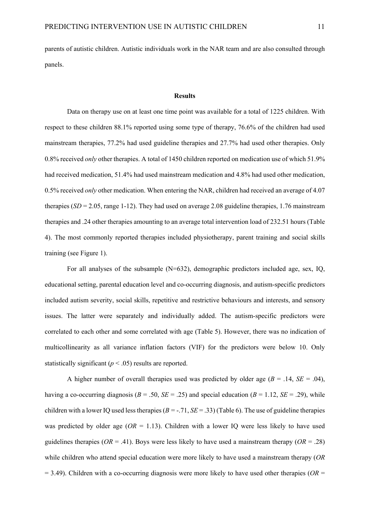parents of autistic children. Autistic individuals work in the NAR team and are also consulted through panels.

### **Results**

Data on therapy use on at least one time point was available for a total of 1225 children. With respect to these children 88.1% reported using some type of therapy, 76.6% of the children had used mainstream therapies, 77.2% had used guideline therapies and 27.7% had used other therapies. Only 0.8% received *only* other therapies. A total of 1450 children reported on medication use of which 51.9% had received medication, 51.4% had used mainstream medication and 4.8% had used other medication, 0.5% received *only* other medication. When entering the NAR, children had received an average of 4.07 therapies  $(SD = 2.05$ , range 1-12). They had used on average 2.08 guideline therapies, 1.76 mainstream therapies and .24 other therapies amounting to an average total intervention load of 232.51 hours (Table 4). The most commonly reported therapies included physiotherapy, parent training and social skills training (see Figure 1).

For all analyses of the subsample  $(N=632)$ , demographic predictors included age, sex, IQ, educational setting, parental education level and co-occurring diagnosis, and autism-specific predictors included autism severity, social skills, repetitive and restrictive behaviours and interests, and sensory issues. The latter were separately and individually added. The autism-specific predictors were correlated to each other and some correlated with age (Table 5). However, there was no indication of multicollinearity as all variance inflation factors (VIF) for the predictors were below 10. Only statistically significant  $(p < .05)$  results are reported.

A higher number of overall therapies used was predicted by older age  $(B = .14, SE = .04)$ , having a co-occurring diagnosis ( $B = .50$ ,  $SE = .25$ ) and special education ( $B = 1.12$ ,  $SE = .29$ ), while children with a lower IQ used less therapies  $(B = -.71, SE = .33)$  (Table 6). The use of guideline therapies was predicted by older age  $(OR = 1.13)$ . Children with a lower IQ were less likely to have used guidelines therapies ( $OR = .41$ ). Boys were less likely to have used a mainstream therapy ( $OR = .28$ ) while children who attend special education were more likely to have used a mainstream therapy (*OR*   $= 3.49$ ). Children with a co-occurring diagnosis were more likely to have used other therapies ( $OR =$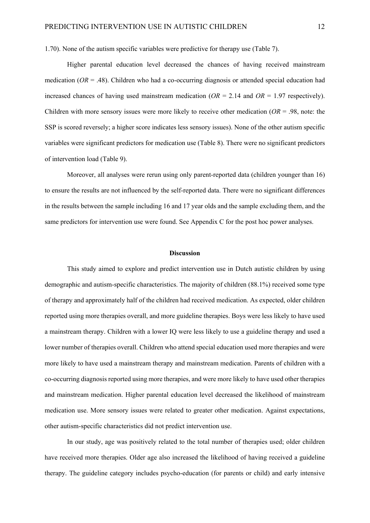1.70). None of the autism specific variables were predictive for therapy use (Table 7).

Higher parental education level decreased the chances of having received mainstream medication  $(OR = .48)$ . Children who had a co-occurring diagnosis or attended special education had increased chances of having used mainstream medication  $(OR = 2.14$  and  $OR = 1.97$  respectively). Children with more sensory issues were more likely to receive other medication (*OR* = .98, note: the SSP is scored reversely; a higher score indicates less sensory issues). None of the other autism specific variables were significant predictors for medication use (Table 8). There were no significant predictors of intervention load (Table 9).

Moreover, all analyses were rerun using only parent-reported data (children younger than 16) to ensure the results are not influenced by the self-reported data. There were no significant differences in the results between the sample including 16 and 17 year olds and the sample excluding them, and the same predictors for intervention use were found. See Appendix C for the post hoc power analyses.

### **Discussion**

This study aimed to explore and predict intervention use in Dutch autistic children by using demographic and autism-specific characteristics. The majority of children (88.1%) received some type of therapy and approximately half of the children had received medication. As expected, older children reported using more therapies overall, and more guideline therapies. Boys were less likely to have used a mainstream therapy. Children with a lower IQ were less likely to use a guideline therapy and used a lower number of therapies overall. Children who attend special education used more therapies and were more likely to have used a mainstream therapy and mainstream medication. Parents of children with a co-occurring diagnosis reported using more therapies, and were more likely to have used other therapies and mainstream medication. Higher parental education level decreased the likelihood of mainstream medication use. More sensory issues were related to greater other medication. Against expectations, other autism-specific characteristics did not predict intervention use.

In our study, age was positively related to the total number of therapies used; older children have received more therapies. Older age also increased the likelihood of having received a guideline therapy. The guideline category includes psycho-education (for parents or child) and early intensive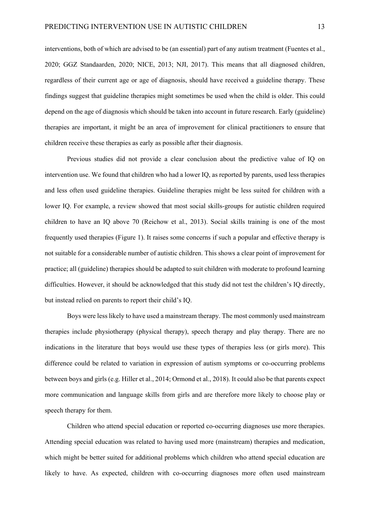interventions, both of which are advised to be (an essential) part of any autism treatment (Fuentes et al., 2020; GGZ Standaarden, 2020; NICE, 2013; NJI, 2017). This means that all diagnosed children, regardless of their current age or age of diagnosis, should have received a guideline therapy. These findings suggest that guideline therapies might sometimes be used when the child is older. This could depend on the age of diagnosis which should be taken into account in future research. Early (guideline) therapies are important, it might be an area of improvement for clinical practitioners to ensure that children receive these therapies as early as possible after their diagnosis.

Previous studies did not provide a clear conclusion about the predictive value of IQ on intervention use. We found that children who had a lower IQ, as reported by parents, used less therapies and less often used guideline therapies. Guideline therapies might be less suited for children with a lower IQ. For example, a review showed that most social skills-groups for autistic children required children to have an IQ above 70 (Reichow et al., 2013). Social skills training is one of the most frequently used therapies (Figure 1). It raises some concerns if such a popular and effective therapy is not suitable for a considerable number of autistic children. This shows a clear point of improvement for practice; all (guideline) therapies should be adapted to suit children with moderate to profound learning difficulties. However, it should be acknowledged that this study did not test the children's IQ directly, but instead relied on parents to report their child's IQ.

Boys were less likely to have used a mainstream therapy. The most commonly used mainstream therapies include physiotherapy (physical therapy), speech therapy and play therapy. There are no indications in the literature that boys would use these types of therapies less (or girls more). This difference could be related to variation in expression of autism symptoms or co-occurring problems between boys and girls (e.g. Hiller et al., 2014; Ormond et al., 2018). It could also be that parents expect more communication and language skills from girls and are therefore more likely to choose play or speech therapy for them.

Children who attend special education or reported co-occurring diagnoses use more therapies. Attending special education was related to having used more (mainstream) therapies and medication, which might be better suited for additional problems which children who attend special education are likely to have. As expected, children with co-occurring diagnoses more often used mainstream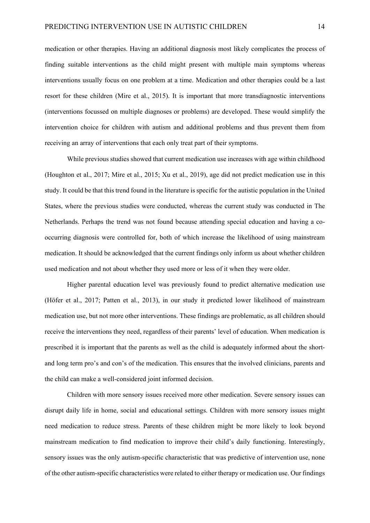medication or other therapies. Having an additional diagnosis most likely complicates the process of finding suitable interventions as the child might present with multiple main symptoms whereas interventions usually focus on one problem at a time. Medication and other therapies could be a last resort for these children (Mire et al., 2015). It is important that more transdiagnostic interventions (interventions focussed on multiple diagnoses or problems) are developed. These would simplify the intervention choice for children with autism and additional problems and thus prevent them from receiving an array of interventions that each only treat part of their symptoms.

While previous studies showed that current medication use increases with age within childhood (Houghton et al., 2017; Mire et al., 2015; Xu et al., 2019), age did not predict medication use in this study. It could be that this trend found in the literature is specific for the autistic population in the United States, where the previous studies were conducted, whereas the current study was conducted in The Netherlands. Perhaps the trend was not found because attending special education and having a cooccurring diagnosis were controlled for, both of which increase the likelihood of using mainstream medication. It should be acknowledged that the current findings only inform us about whether children used medication and not about whether they used more or less of it when they were older.

Higher parental education level was previously found to predict alternative medication use (Höfer et al., 2017; Patten et al., 2013), in our study it predicted lower likelihood of mainstream medication use, but not more other interventions. These findings are problematic, as all children should receive the interventions they need, regardless of their parents' level of education. When medication is prescribed it is important that the parents as well as the child is adequately informed about the shortand long term pro's and con's of the medication. This ensures that the involved clinicians, parents and the child can make a well-considered joint informed decision.

Children with more sensory issues received more other medication. Severe sensory issues can disrupt daily life in home, social and educational settings. Children with more sensory issues might need medication to reduce stress. Parents of these children might be more likely to look beyond mainstream medication to find medication to improve their child's daily functioning. Interestingly, sensory issues was the only autism-specific characteristic that was predictive of intervention use, none of the other autism-specific characteristics were related to either therapy or medication use. Our findings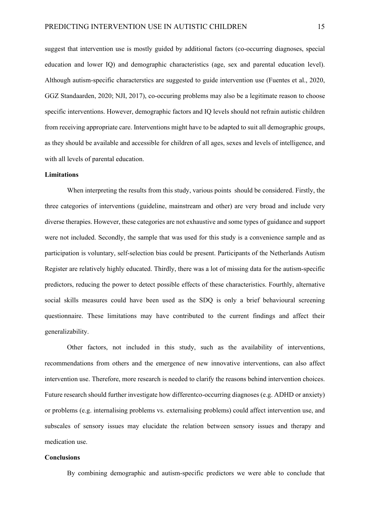suggest that intervention use is mostly guided by additional factors (co-occurring diagnoses, special education and lower IQ) and demographic characteristics (age, sex and parental education level). Although autism-specific characterstics are suggested to guide intervention use (Fuentes et al., 2020, GGZ Standaarden, 2020; NJI, 2017), co-occuring problems may also be a legitimate reason to choose specific interventions. However, demographic factors and IQ levels should not refrain autistic children from receiving appropriate care. Interventions might have to be adapted to suit all demographic groups, as they should be available and accessible for children of all ages, sexes and levels of intelligence, and with all levels of parental education.

## **Limitations**

When interpreting the results from this study, various points should be considered. Firstly, the three categories of interventions (guideline, mainstream and other) are very broad and include very diverse therapies. However, these categories are not exhaustive and some types of guidance and support were not included. Secondly, the sample that was used for this study is a convenience sample and as participation is voluntary, self-selection bias could be present. Participants of the Netherlands Autism Register are relatively highly educated. Thirdly, there was a lot of missing data for the autism-specific predictors, reducing the power to detect possible effects of these characteristics. Fourthly, alternative social skills measures could have been used as the SDQ is only a brief behavioural screening questionnaire. These limitations may have contributed to the current findings and affect their generalizability.

Other factors, not included in this study, such as the availability of interventions, recommendations from others and the emergence of new innovative interventions, can also affect intervention use. Therefore, more research is needed to clarify the reasons behind intervention choices. Future research should further investigate how differentco-occurring diagnoses (e.g. ADHD or anxiety) or problems (e.g. internalising problems vs. externalising problems) could affect intervention use, and subscales of sensory issues may elucidate the relation between sensory issues and therapy and medication use.

### **Conclusions**

By combining demographic and autism-specific predictors we were able to conclude that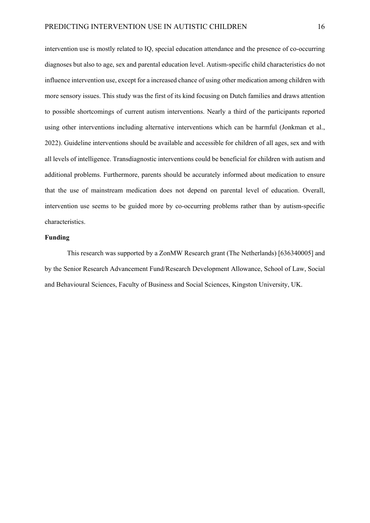intervention use is mostly related to IQ, special education attendance and the presence of co-occurring diagnoses but also to age, sex and parental education level. Autism-specific child characteristics do not influence intervention use, except for a increased chance of using other medication among children with more sensory issues. This study was the first of its kind focusing on Dutch families and draws attention to possible shortcomings of current autism interventions. Nearly a third of the participants reported using other interventions including alternative interventions which can be harmful (Jonkman et al., 2022). Guideline interventions should be available and accessible for children of all ages, sex and with all levels of intelligence. Transdiagnostic interventions could be beneficial for children with autism and additional problems. Furthermore, parents should be accurately informed about medication to ensure that the use of mainstream medication does not depend on parental level of education. Overall, intervention use seems to be guided more by co-occurring problems rather than by autism-specific characteristics.

## **Funding**

This research was supported by a ZonMW Research grant (The Netherlands) [636340005] and by the Senior Research Advancement Fund/Research Development Allowance, School of Law, Social and Behavioural Sciences, Faculty of Business and Social Sciences, Kingston University, UK.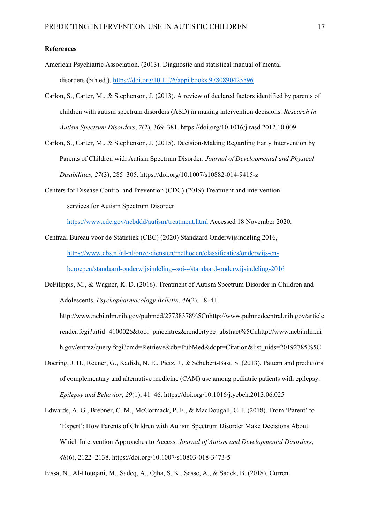## **References**

- American Psychiatric Association. (2013). Diagnostic and statistical manual of mental disorders (5th ed.).<https://doi.org/10.1176/appi.books.9780890425596>
- Carlon, S., Carter, M., & Stephenson, J. (2013). A review of declared factors identified by parents of children with autism spectrum disorders (ASD) in making intervention decisions. *Research in Autism Spectrum Disorders*, *7*(2), 369–381. https://doi.org/10.1016/j.rasd.2012.10.009
- Carlon, S., Carter, M., & Stephenson, J. (2015). Decision-Making Regarding Early Intervention by Parents of Children with Autism Spectrum Disorder. *Journal of Developmental and Physical Disabilities*, *27*(3), 285–305. https://doi.org/10.1007/s10882-014-9415-z
- Centers for Disease Control and Prevention (CDC) (2019) Treatment and intervention services for Autism Spectrum Disorder

<https://www.cdc.gov/ncbddd/autism/treatment.html> Accessed 18 November 2020.

- Centraal Bureau voor de Statistiek (CBC) (2020) Standaard Onderwijsindeling 2016, [https://www.cbs.nl/nl-nl/onze-diensten/methoden/classificaties/onderwijs-en](https://www.cbs.nl/nl-nl/onze-diensten/methoden/classificaties/onderwijs-en-beroepen/standaard-onderwijsindeling--soi--/standaard-onderwijsindeling-2016)[beroepen/standaard-onderwijsindeling--soi--/standaard-onderwijsindeling-2016](https://www.cbs.nl/nl-nl/onze-diensten/methoden/classificaties/onderwijs-en-beroepen/standaard-onderwijsindeling--soi--/standaard-onderwijsindeling-2016)
- DeFilippis, M., & Wagner, K. D. (2016). Treatment of Autism Spectrum Disorder in Children and Adolescents. *Psychopharmacology Belletin*, *46*(2), 18–41. http://www.ncbi.nlm.nih.gov/pubmed/27738378%5Cnhttp://www.pubmedcentral.nih.gov/article

render.fcgi?artid=4100026&tool=pmcentrez&rendertype=abstract%5Cnhttp://www.ncbi.nlm.ni h.gov/entrez/query.fcgi?cmd=Retrieve&db=PubMed&dopt=Citation&list\_uids=20192785%5C

- Doering, J. H., Reuner, G., Kadish, N. E., Pietz, J., & Schubert-Bast, S. (2013). Pattern and predictors of complementary and alternative medicine (CAM) use among pediatric patients with epilepsy. *Epilepsy and Behavior*, *29*(1), 41–46. https://doi.org/10.1016/j.yebeh.2013.06.025
- Edwards, A. G., Brebner, C. M., McCormack, P. F., & MacDougall, C. J. (2018). From 'Parent' to 'Expert': How Parents of Children with Autism Spectrum Disorder Make Decisions About Which Intervention Approaches to Access. *Journal of Autism and Developmental Disorders*, *48*(6), 2122–2138. https://doi.org/10.1007/s10803-018-3473-5

Eissa, N., Al-Houqani, M., Sadeq, A., Ojha, S. K., Sasse, A., & Sadek, B. (2018). Current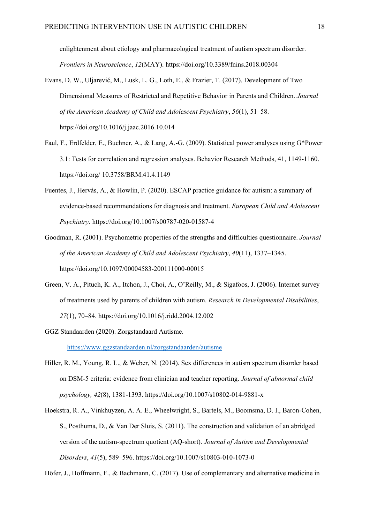enlightenment about etiology and pharmacological treatment of autism spectrum disorder. *Frontiers in Neuroscience*, *12*(MAY). https://doi.org/10.3389/fnins.2018.00304

- Evans, D. W., Uljarević, M., Lusk, L. G., Loth, E., & Frazier, T. (2017). Development of Two Dimensional Measures of Restricted and Repetitive Behavior in Parents and Children. *Journal of the American Academy of Child and Adolescent Psychiatry*, *56*(1), 51–58. https://doi.org/10.1016/j.jaac.2016.10.014
- Faul, F., Erdfelder, E., Buchner, A., & Lang, A.-G. (2009). Statistical power analyses using G\*Power 3.1: Tests for correlation and regression analyses. Behavior Research Methods, 41, 1149-1160. https://doi.org/ 10.3758/BRM.41.4.1149
- Fuentes, J., Hervás, A., & Howlin, P. (2020). ESCAP practice guidance for autism: a summary of evidence-based recommendations for diagnosis and treatment. *European Child and Adolescent Psychiatry*. https://doi.org/10.1007/s00787-020-01587-4
- Goodman, R. (2001). Psychometric properties of the strengths and difficulties questionnaire. *Journal of the American Academy of Child and Adolescent Psychiatry*, *40*(11), 1337–1345. https://doi.org/10.1097/00004583-200111000-00015
- Green, V. A., Pituch, K. A., Itchon, J., Choi, A., O'Reilly, M., & Sigafoos, J. (2006). Internet survey of treatments used by parents of children with autism. *Research in Developmental Disabilities*, *27*(1), 70–84. https://doi.org/10.1016/j.ridd.2004.12.002
- GGZ Standaarden (2020). Zorgstandaard Autisme. <https://www.ggzstandaarden.nl/zorgstandaarden/autisme>
- Hiller, R. M., Young, R. L., & Weber, N. (2014). Sex differences in autism spectrum disorder based on DSM-5 criteria: evidence from clinician and teacher reporting. *Journal of abnormal child psychology, 42*(8), 1381-1393. https://doi.org/10.1007/s10802-014-9881-x
- Hoekstra, R. A., Vinkhuyzen, A. A. E., Wheelwright, S., Bartels, M., Boomsma, D. I., Baron-Cohen, S., Posthuma, D., & Van Der Sluis, S. (2011). The construction and validation of an abridged version of the autism-spectrum quotient (AQ-short). *Journal of Autism and Developmental Disorders*, *41*(5), 589–596. https://doi.org/10.1007/s10803-010-1073-0

Höfer, J., Hoffmann, F., & Bachmann, C. (2017). Use of complementary and alternative medicine in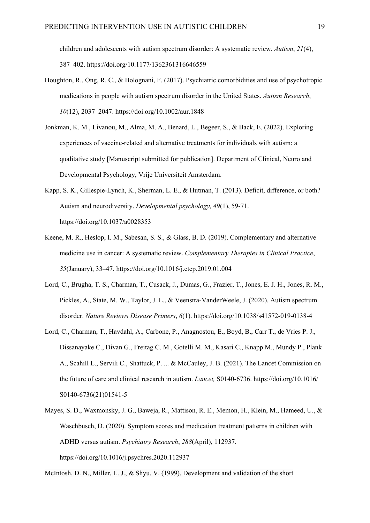children and adolescents with autism spectrum disorder: A systematic review. *Autism*, *21*(4), 387–402. https://doi.org/10.1177/1362361316646559

- Houghton, R., Ong, R. C., & Bolognani, F. (2017). Psychiatric comorbidities and use of psychotropic medications in people with autism spectrum disorder in the United States. *Autism Research*, *10*(12), 2037–2047. https://doi.org/10.1002/aur.1848
- Jonkman, K. M., Livanou, M., Alma, M. A., Benard, L., Begeer, S., & Back, E. (2022). Exploring experiences of vaccine-related and alternative treatments for individuals with autism: a qualitative study [Manuscript submitted for publication]. Department of Clinical, Neuro and Developmental Psychology, Vrije Universiteit Amsterdam.
- Kapp, S. K., Gillespie-Lynch, K., Sherman, L. E., & Hutman, T. (2013). Deficit, difference, or both? Autism and neurodiversity. *Developmental psychology, 49*(1), 59-71. https://doi.org/10.1037/a0028353
- Keene, M. R., Heslop, I. M., Sabesan, S. S., & Glass, B. D. (2019). Complementary and alternative medicine use in cancer: A systematic review. *Complementary Therapies in Clinical Practice*, *35*(January), 33–47. https://doi.org/10.1016/j.ctcp.2019.01.004
- Lord, C., Brugha, T. S., Charman, T., Cusack, J., Dumas, G., Frazier, T., Jones, E. J. H., Jones, R. M., Pickles, A., State, M. W., Taylor, J. L., & Veenstra-VanderWeele, J. (2020). Autism spectrum disorder. *Nature Reviews Disease Primers*, *6*(1). https://doi.org/10.1038/s41572-019-0138-4
- Lord, C., Charman, T., Havdahl, A., Carbone, P., Anagnostou, E., Boyd, B., Carr T., de Vries P. J., Dissanayake C., Divan G., Freitag C. M., Gotelli M. M., Kasari C., Knapp M., Mundy P., Plank A., Scahill L., Servili C., Shattuck, P. ... & McCauley, J. B. (2021). The Lancet Commission on the future of care and clinical research in autism. *Lancet,* S0140-6736. https://doi.org/10.1016/ S0140-6736(21)01541-5
- Mayes, S. D., Waxmonsky, J. G., Baweja, R., Mattison, R. E., Memon, H., Klein, M., Hameed, U., & Waschbusch, D. (2020). Symptom scores and medication treatment patterns in children with ADHD versus autism. *Psychiatry Research*, *288*(April), 112937. https://doi.org/10.1016/j.psychres.2020.112937

McIntosh, D. N., Miller, L. J., & Shyu, V. (1999). Development and validation of the short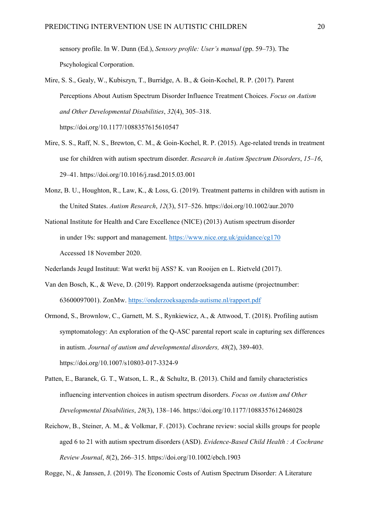sensory profile. In W. Dunn (Ed.), *Sensory profile: User's manual* (pp. 59–73). The Pscyhological Corporation.

- Mire, S. S., Gealy, W., Kubiszyn, T., Burridge, A. B., & Goin-Kochel, R. P. (2017). Parent Perceptions About Autism Spectrum Disorder Influence Treatment Choices. *Focus on Autism and Other Developmental Disabilities*, *32*(4), 305–318. https://doi.org/10.1177/1088357615610547
- Mire, S. S., Raff, N. S., Brewton, C. M., & Goin-Kochel, R. P. (2015). Age-related trends in treatment use for children with autism spectrum disorder. *Research in Autism Spectrum Disorders*, *15*–*16*, 29–41. https://doi.org/10.1016/j.rasd.2015.03.001
- Monz, B. U., Houghton, R., Law, K., & Loss, G. (2019). Treatment patterns in children with autism in the United States. *Autism Research*, *12*(3), 517–526. https://doi.org/10.1002/aur.2070
- National Institute for Health and Care Excellence (NICE) (2013) Autism spectrum disorder in under 19s: support and management. <https://www.nice.org.uk/guidance/cg170> Accessed 18 November 2020.

Nederlands Jeugd Instituut: Wat werkt bij ASS? K. van Rooijen en L. Rietveld (2017).

- Van den Bosch, K., & Weve, D. (2019). Rapport onderzoeksagenda autisme (projectnumber: 63600097001). ZonMw.<https://onderzoeksagenda-autisme.nl/rapport.pdf>
- Ormond, S., Brownlow, C., Garnett, M. S., Rynkiewicz, A., & Attwood, T. (2018). Profiling autism symptomatology: An exploration of the Q-ASC parental report scale in capturing sex differences in autism. *Journal of autism and developmental disorders, 48*(2), 389-403. https://doi.org/10.1007/s10803-017-3324-9
- Patten, E., Baranek, G. T., Watson, L. R., & Schultz, B. (2013). Child and family characteristics influencing intervention choices in autism spectrum disorders. *Focus on Autism and Other Developmental Disabilities*, *28*(3), 138–146. https://doi.org/10.1177/1088357612468028
- Reichow, B., Steiner, A. M., & Volkmar, F. (2013). Cochrane review: social skills groups for people aged 6 to 21 with autism spectrum disorders (ASD). *Evidence-Based Child Health : A Cochrane Review Journal*, *8*(2), 266–315. https://doi.org/10.1002/ebch.1903

Rogge, N., & Janssen, J. (2019). The Economic Costs of Autism Spectrum Disorder: A Literature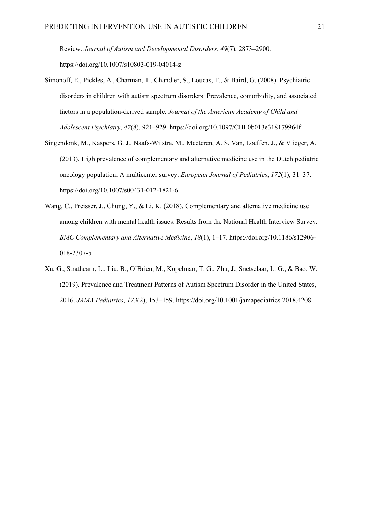Review. *Journal of Autism and Developmental Disorders*, *49*(7), 2873–2900. https://doi.org/10.1007/s10803-019-04014-z

- Simonoff, E., Pickles, A., Charman, T., Chandler, S., Loucas, T., & Baird, G. (2008). Psychiatric disorders in children with autism spectrum disorders: Prevalence, comorbidity, and associated factors in a population-derived sample. *Journal of the American Academy of Child and Adolescent Psychiatry*, *47*(8), 921–929. https://doi.org/10.1097/CHI.0b013e318179964f
- Singendonk, M., Kaspers, G. J., Naafs-Wilstra, M., Meeteren, A. S. Van, Loeffen, J., & Vlieger, A. (2013). High prevalence of complementary and alternative medicine use in the Dutch pediatric oncology population: A multicenter survey. *European Journal of Pediatrics*, *172*(1), 31–37. https://doi.org/10.1007/s00431-012-1821-6
- Wang, C., Preisser, J., Chung, Y., & Li, K. (2018). Complementary and alternative medicine use among children with mental health issues: Results from the National Health Interview Survey. *BMC Complementary and Alternative Medicine*, *18*(1), 1–17. https://doi.org/10.1186/s12906- 018-2307-5
- Xu, G., Strathearn, L., Liu, B., O'Brien, M., Kopelman, T. G., Zhu, J., Snetselaar, L. G., & Bao, W. (2019). Prevalence and Treatment Patterns of Autism Spectrum Disorder in the United States, 2016. *JAMA Pediatrics*, *173*(2), 153–159. https://doi.org/10.1001/jamapediatrics.2018.4208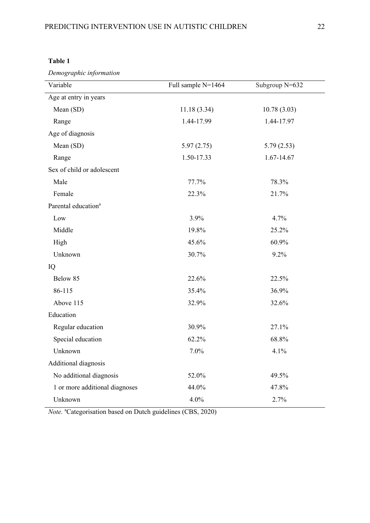| `able |  |
|-------|--|
|-------|--|

*Demographic information* 

| Variable                        | Full sample N=1464 | Subgroup N=632 |
|---------------------------------|--------------------|----------------|
| Age at entry in years           |                    |                |
| Mean (SD)                       | 11.18(3.34)        | 10.78(3.03)    |
| Range                           | 1.44-17.99         | 1.44-17.97     |
| Age of diagnosis                |                    |                |
| Mean (SD)                       | 5.97(2.75)         | 5.79(2.53)     |
| Range                           | 1.50-17.33         | 1.67-14.67     |
| Sex of child or adolescent      |                    |                |
| Male                            | 77.7%              | 78.3%          |
| Female                          | 22.3%              | 21.7%          |
| Parental education <sup>a</sup> |                    |                |
| Low                             | 3.9%               | 4.7%           |
| Middle                          | 19.8%              | 25.2%          |
| High                            | 45.6%              | 60.9%          |
| Unknown                         | 30.7%              | 9.2%           |
| IQ                              |                    |                |
| Below 85                        | 22.6%              | 22.5%          |
| 86-115                          | 35.4%              | 36.9%          |
| Above 115                       | 32.9%              | 32.6%          |
| Education                       |                    |                |
| Regular education               | 30.9%              | 27.1%          |
| Special education               | 62.2%              | 68.8%          |
| Unknown                         | 7.0%               | 4.1%           |
| Additional diagnosis            |                    |                |
| No additional diagnosis         | 52.0%              | 49.5%          |
| 1 or more additional diagnoses  | 44.0%              | 47.8%          |
| Unknown                         | 4.0%               | 2.7%           |

Note. <sup>a</sup>Categorisation based on Dutch guidelines (CBS, 2020)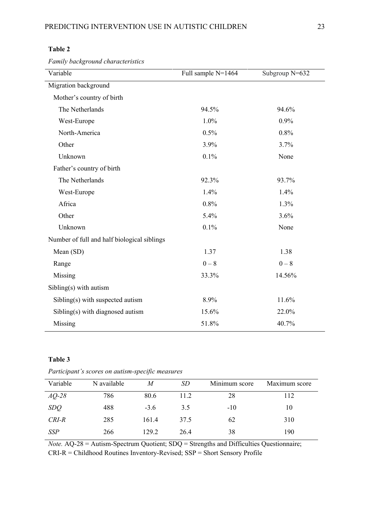| Λ<br>II<br>н<br>1 |  |
|-------------------|--|
|-------------------|--|

*Family background characteristics* 

| Variable                                    | Full sample N=1464 | Subgroup N=632 |
|---------------------------------------------|--------------------|----------------|
| Migration background                        |                    |                |
| Mother's country of birth                   |                    |                |
| The Netherlands                             | 94.5%              | 94.6%          |
| West-Europe                                 | 1.0%               | 0.9%           |
| North-America                               | 0.5%               | 0.8%           |
| Other                                       | 3.9%               | 3.7%           |
| Unknown                                     | 0.1%               | None           |
| Father's country of birth                   |                    |                |
| The Netherlands                             | 92.3%              | 93.7%          |
| West-Europe                                 | 1.4%               | 1.4%           |
| Africa                                      | 0.8%               | 1.3%           |
| Other                                       | 5.4%               | 3.6%           |
| Unknown                                     | 0.1%               | None           |
| Number of full and half biological siblings |                    |                |
| Mean (SD)                                   | 1.37               | 1.38           |
| Range                                       | $0 - 8$            | $0 - 8$        |
| Missing                                     | 33.3%              | 14.56%         |
| $Sibling(s)$ with autism                    |                    |                |
| Sibling(s) with suspected autism            | 8.9%               | 11.6%          |
| Sibling(s) with diagnosed autism            | 15.6%              | 22.0%          |
| Missing                                     | 51.8%              | 40.7%          |

## **Table 3**

| Variable   | N available | M      | <i>SD</i> | Minimum score | Maximum score |
|------------|-------------|--------|-----------|---------------|---------------|
| $AQ-28$    | 786         | 80.6   | 11.2      | 28            | 112           |
| <i>SDQ</i> | 488         | $-3.6$ | 3.5       | $-10$         | 10            |
| CRI-R      | 285         | 161.4  | 37.5      | 62            | 310           |
| <b>SSP</b> | 266         | 129.2  | 26.4      | 38            | 190           |

*Participant's scores on autism-specific measures*

*Note.* AQ-28 = Autism-Spectrum Quotient; SDQ = Strengths and Difficulties Questionnaire; CRI-R = Childhood Routines Inventory-Revised; SSP = Short Sensory Profile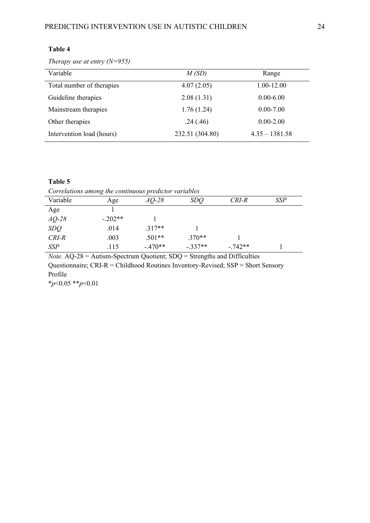*Therapy use at entry (N=955)*

| Variable                  | M(SD)           | Range            |
|---------------------------|-----------------|------------------|
| Total number of therapies | 4.07(2.05)      | 1.00-12.00       |
| Guideline therapies       | 2.08(1.31)      | $0.00 - 6.00$    |
| Mainstream therapies      | 1.76(1.24)      | $0.00 - 7.00$    |
| Other therapies           | .24(.46)        | $0.00 - 2.00$    |
| Intervention load (hours) | 232.51 (304.80) | $4.35 - 1381.58$ |

## **Table 5**

*Correlations among the continuous predictor variables*

| Variable   | Age       | $AQ-28$   | <i>SDQ</i> | $CRI-R$   | <b>SSP</b> |
|------------|-----------|-----------|------------|-----------|------------|
| Age        |           |           |            |           |            |
| $AQ-28$    | $-.202**$ |           |            |           |            |
| SDQ        | .014      | $.317**$  |            |           |            |
| $CRI-R$    | .003      | $.501**$  | $.370**$   |           |            |
| <b>SSP</b> | .115      | $-.470**$ | $-.337**$  | $-.742**$ |            |

*Note.* AQ-28 = Autism-Spectrum Quotient; SDQ = Strengths and Difficulties Questionnaire; CRI-R = Childhood Routines Inventory-Revised; SSP = Short Sensory Profile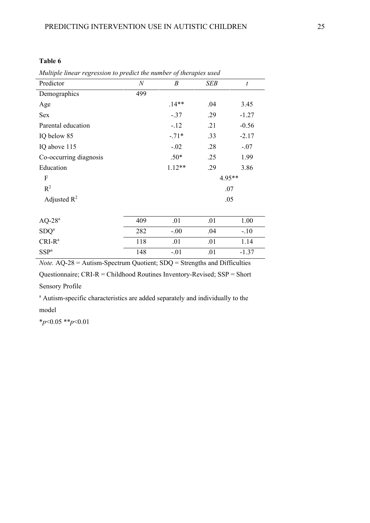## **Table 6**

*Multiple linear regression to predict the number of therapies used*

| Predictor                 | $\boldsymbol{N}$ | $\boldsymbol{B}$ | SEB | $\boldsymbol{t}$ |
|---------------------------|------------------|------------------|-----|------------------|
| Demographics              | 499              |                  |     |                  |
| Age                       |                  | $.14**$          | .04 | 3.45             |
| Sex                       |                  | $-.37$           | .29 | $-1.27$          |
| Parental education        |                  | $-12$            | .21 | $-0.56$          |
| IQ below 85               |                  | $-.71*$          | .33 | $-2.17$          |
| IQ above 115              |                  | $-.02$           | .28 | $-.07$           |
| Co-occurring diagnosis    |                  | $.50*$           | .25 | 1.99             |
| Education                 |                  | $1.12**$         | .29 | 3.86             |
| $\boldsymbol{\mathrm{F}}$ |                  |                  |     | 4.95**           |
| $R^2$                     |                  |                  |     | .07              |
| Adjusted $R^2$            |                  |                  |     | .05              |
| $\rm AQ\text{-}28^a$      | 409              | .01              | .01 | 1.00             |
| SDQ <sup>a</sup>          | 282              | $-.00$           | .04 | $-.10$           |
| $CRI-Ra$                  | 118              | .01              | .01 | 1.14             |
| SSP <sup>a</sup>          | 148              | $-.01$           | .01 | $-1.37$          |

*Note.* AQ-28 = Autism-Spectrum Quotient; SDQ = Strengths and Difficulties

Questionnaire; CRI-R = Childhood Routines Inventory-Revised; SSP = Short

Sensory Profile

<sup>a</sup> Autism-specific characteristics are added separately and individually to the model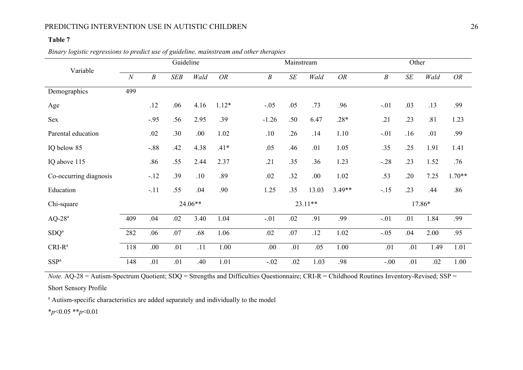## PREDICTING INTERVENTION USE IN AUTISTIC CHILDREN 26

## **Table 7**

*Binary logistic regressions to predict use of guideline, mainstream and other therapies*

|                        |          |                  | Guideline |         |           |                  | Mainstream |         |           |                  | Other     |        |           |
|------------------------|----------|------------------|-----------|---------|-----------|------------------|------------|---------|-----------|------------------|-----------|--------|-----------|
| Variable               | $\cal N$ | $\boldsymbol{B}$ | SEB       | Wald    | <b>OR</b> | $\boldsymbol{B}$ | $\cal SE$  | Wald    | <b>OR</b> | $\boldsymbol{B}$ | $\cal SE$ | Wald   | <b>OR</b> |
| Demographics           | 499      |                  |           |         |           |                  |            |         |           |                  |           |        |           |
| Age                    |          | .12              | .06       | 4.16    | $1.12*$   | $-.05$           | .05        | .73     | .96       | $-.01$           | .03       | .13    | .99       |
| Sex                    |          | $-.95$           | .56       | 2.95    | .39       | $-1.26$          | .50        | 6.47    | $.28*$    | .21              | .23       | .81    | 1.23      |
| Parental education     |          | .02              | .30       | .00.    | 1.02      | .10              | .26        | .14     | 1.10      | $-.01$           | .16       | .01    | .99       |
| IQ below 85            |          | $-.88$           | .42       | 4.38    | $.41*$    | .05              | .46        | .01     | 1.05      | .35              | .25       | 1.91   | 1.41      |
| IQ above 115           |          | .86              | .55       | 2.44    | 2.37      | .21              | .35        | .36     | 1.23      | $-.28$           | .23       | 1.52   | .76       |
| Co-occurring diagnosis |          | $-12$            | .39       | .10     | .89       | .02              | .32        | .00.    | 1.02      | .53              | .20       | 7.25   | $1.70**$  |
| Education              |          | $-.11$           | .55       | .04     | .90       | 1.25             | .35        | 13.03   | $3.49**$  | $-.15$           | .23       | .44    | .86       |
| Chi-square             |          |                  |           | 24.06** |           |                  |            | 23.11** |           |                  |           | 17.86* |           |
| $AQ-28^a$              | 409      | .04              | .02       | 3.40    | 1.04      | $-.01$           | .02        | .91     | .99       | $-.01$           | .01       | 1.84   | .99       |
| SDQ <sup>a</sup>       | 282      | .06              | .07       | .68     | 1.06      | .02              | .07        | .12     | 1.02      | $-.05$           | .04       | 2.00   | .95       |
| $CRI-R^a$              | 118      | .00.             | .01       | .11     | 1.00      | .00              | .01        | .05     | 1.00      | .01              | .01       | 1.49   | 1.01      |
| SSP <sup>a</sup>       | 148      | .01              | .01       | .40     | 1.01      | $-.02$           | .02        | 1.03    | .98       | $-.00$           | .01       | .02    | 1.00      |

*Note.* AQ-28 = Autism-Spectrum Quotient; SDQ = Strengths and Difficulties Questionnaire; CRI-R = Childhood Routines Inventory-Revised; SSP =

Short Sensory Profile

<sup>a</sup> Autism-specific characteristics are added separately and individually to the model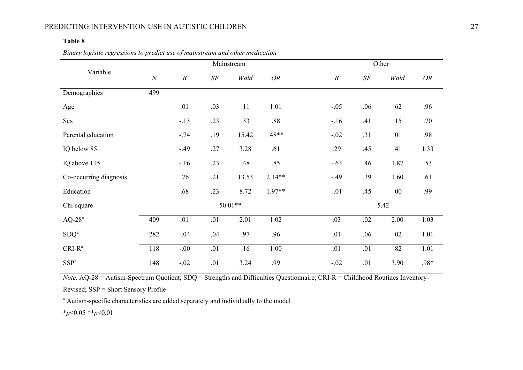## PREDICTING INTERVENTION USE IN AUTISTIC CHILDREN 27

## **Table 8**

|                        |                   |                  |        | Mainstream |             | Other            |        |      |           |
|------------------------|-------------------|------------------|--------|------------|-------------|------------------|--------|------|-----------|
| Variable               | $\overline{N}$    | $\boldsymbol{B}$ | $S\!E$ | Wald       | ${\cal OR}$ | $\boldsymbol{B}$ | $S\!E$ | Wald | <b>OR</b> |
| Demographics           | 499               |                  |        |            |             |                  |        |      |           |
| Age                    |                   | .01              | .03    | .11        | 1.01        | $-.05$           | .06    | .62  | .96       |
| Sex                    |                   | $-.13$           | .23    | .33        | .88         | $-.16$           | .41    | .15  | .70       |
| Parental education     |                   | $-.74$           | .19    | 15.42      | $.48**$     | $-.02$           | .31    | .01  | .98       |
| IQ below 85            |                   | $-.49$           | .27    | 3.28       | .61         | .29              | .45    | .41  | 1.33      |
| IQ above 115           |                   | $-.16$           | .23    | .48        | .85         | $-.63$           | .46    | 1.87 | .53       |
| Co-occurring diagnosis |                   | .76              | .21    | 13.53      | $2.14**$    | $-.49$           | .39    | 1.60 | .61       |
| Education              |                   | .68              | .23    | 8.72       | $1.97**$    | $-.01$           | .45    | .00. | .99       |
| Chi-square             | $50.01**$<br>5.42 |                  |        |            |             |                  |        |      |           |
| $AQ-28a$               | 409               | .01              | .01    | 2.01       | 1.02        | .03              | .02    | 2.00 | 1.03      |
| SDQ <sup>a</sup>       | 282               | $-.04$           | .04    | .97        | .96         | .01              | .06    | .02  | 1.01      |
| $CRI-R^a$              | 118               | $-.00$           | .01    | .16        | 1.00        | .01              | .01    | .82  | 1.01      |
| SSP <sup>a</sup>       | 148               | $-.02$           | .01    | 3.24       | .99         | $-.02$           | .01    | 3.90 | .98*      |

*Binary logistic regressions to predict use of mainstream and other medication*

*Note.* AQ-28 = Autism-Spectrum Quotient; SDQ = Strengths and Difficulties Questionnaire; CRI-R = Childhood Routines Inventory-

Revised; SSP = Short Sensory Profile

<sup>a</sup> Autism-specific characteristics are added separately and individually to the model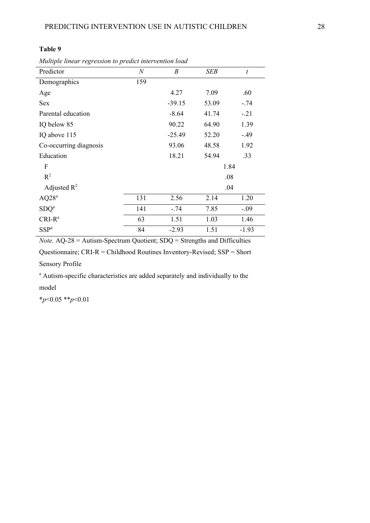## **Table 9**

*Multiple linear regression to predict intervention load*

| Predictor              | $\mathcal N$ | $\boldsymbol{B}$ | SEB   | $\boldsymbol{t}$ |
|------------------------|--------------|------------------|-------|------------------|
| Demographics           | 159          |                  |       |                  |
| Age                    |              | 4.27             | 7.09  | .60              |
| <b>Sex</b>             |              | $-39.15$         | 53.09 | $-.74$           |
| Parental education     |              | $-8.64$          | 41.74 | $-21$            |
| IQ below 85            |              | 90.22            | 64.90 | 1.39             |
| IQ above 115           |              | $-25.49$         | 52.20 | $-.49$           |
| Co-occurring diagnosis |              | 93.06            | 48.58 | 1.92             |
| Education              |              | 18.21            | 54.94 | .33              |
| F                      |              |                  | 1.84  |                  |
| $R^2$                  |              |                  | .08   |                  |
| Adjusted $R^2$         |              |                  | .04   |                  |
| AQ28 <sup>a</sup>      | 131          | 2.56             | 2.14  | 1.20             |
| SDQ <sup>a</sup>       | 141          | $-.74$           | 7.85  | $-.09$           |
| $CRI-Ra$               | 63           | 1.51             | 1.03  | 1.46             |
| SSP <sup>a</sup>       | 84           | $-2.93$          | 1.51  | $-1.93$          |

*Note.* AQ-28 = Autism-Spectrum Quotient; SDQ = Strengths and Difficulties

Questionnaire; CRI-R = Childhood Routines Inventory-Revised; SSP = Short Sensory Profile

<sup>a</sup> Autism-specific characteristics are added separately and individually to the model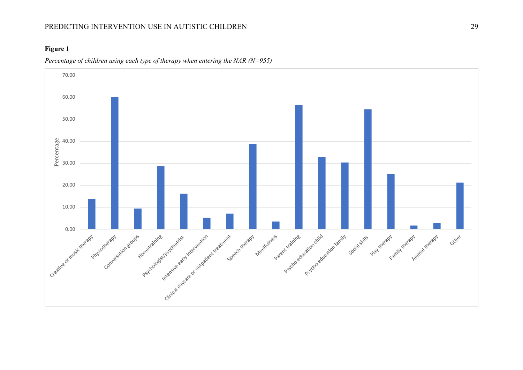## PREDICTING INTERVENTION USE IN AUTISTIC CHILDREN 29

## **Figure 1**



*Percentage of children using each type of therapy when entering the NAR (N=955)*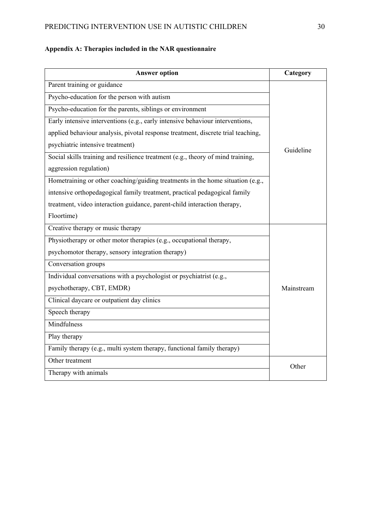# PREDICTING INTERVENTION USE IN AUTISTIC CHILDREN 30

# **Appendix A: Therapies included in the NAR questionnaire**

| <b>Answer option</b>                                                             | Category   |
|----------------------------------------------------------------------------------|------------|
| Parent training or guidance                                                      |            |
| Psycho-education for the person with autism                                      |            |
| Psycho-education for the parents, siblings or environment                        |            |
| Early intensive interventions (e.g., early intensive behaviour interventions,    |            |
| applied behaviour analysis, pivotal response treatment, discrete trial teaching, |            |
| psychiatric intensive treatment)                                                 | Guideline  |
| Social skills training and resilience treatment (e.g., theory of mind training,  |            |
| aggression regulation)                                                           |            |
| Hometraining or other coaching/guiding treatments in the home situation (e.g.,   |            |
| intensive orthopedagogical family treatment, practical pedagogical family        |            |
| treatment, video interaction guidance, parent-child interaction therapy,         |            |
| Floortime)                                                                       |            |
| Creative therapy or music therapy                                                |            |
| Physiotherapy or other motor therapies (e.g., occupational therapy,              |            |
| psychomotor therapy, sensory integration therapy)                                |            |
| Conversation groups                                                              |            |
| Individual conversations with a psychologist or psychiatrist (e.g.,              |            |
| psychotherapy, CBT, EMDR)                                                        | Mainstream |
| Clinical daycare or outpatient day clinics                                       |            |
| Speech therapy                                                                   |            |
| Mindfulness                                                                      |            |
| Play therapy                                                                     |            |
| Family therapy (e.g., multi system therapy, functional family therapy)           |            |
| Other treatment                                                                  | Other      |
| Therapy with animals                                                             |            |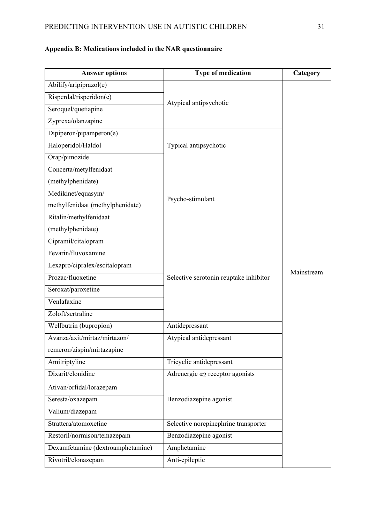# **Answer options Type of medication Category** Abilify/aripiprazol(e) Atypical antipsychotic Mainstream Risperdal/risperidon(e) Seroquel/quetiapine Zyprexa/olanzapine Dipiperon/pipamperon(e) Haloperidol/Haldol Typical antipsychotic Orap/pimozide Concerta/metylfenidaat (methylphenidate) Medikinet/equasym/<br>Psycho-stimulant methylfenidaat (methylphenidate) Ritalin/methylfenidaat (methylphenidate) Cipramil/citalopram Selective serotonin reuptake inhibitor Fevarin/fluvoxamine Lexapro/cipralex/escitalopram Prozac/fluoxetine Seroxat/paroxetine Venlafaxine Zoloft/sertraline Wellbutrin (bupropion) Antidepressant Avanza/axit/mirtaz/mirtazon/ remeron/zispin/mirtazapine Atypical antidepressant Amitriptyline Tricyclic antidepressant Dixarit/clonidine  $\vert$  Adrenergic  $\alpha$  receptor agonists Ativan/orfidal/lorazepam Seresta/oxazepam Benzodiazepine agonist Valium/diazepam Strattera/atomoxetine Strattera/atomoxetine Selective norepinephrine transporter Restoril/normison/temazepam Benzodiazepine agonist Dexamfetamine (dextroamphetamine) Amphetamine Rivotril/clonazepam Anti-epileptic

## **Appendix B: Medications included in the NAR questionnaire**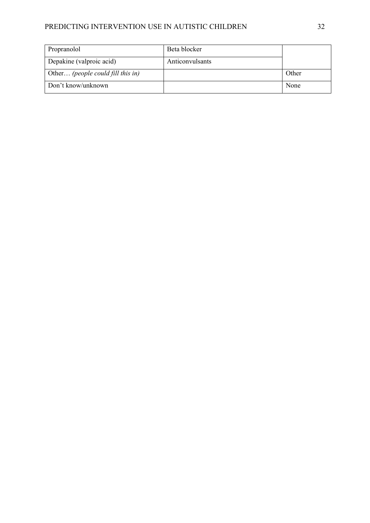# PREDICTING INTERVENTION USE IN AUTISTIC CHILDREN 32

| Propranolol                       | Beta blocker    |       |
|-----------------------------------|-----------------|-------|
| Depakine (valproic acid)          | Anticonvulsants |       |
| Other (people could fill this in) |                 | Other |
| Don't know/unknown                |                 | None  |